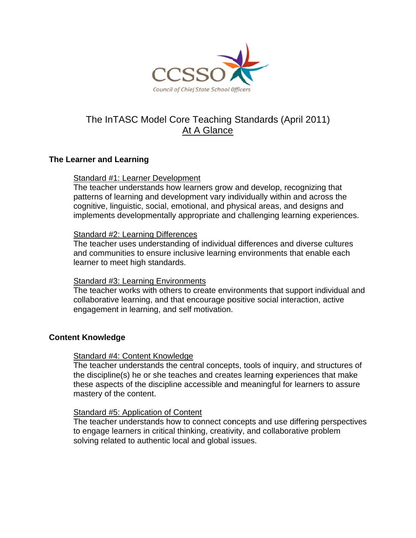

# The InTASC Model Core Teaching Standards (April 2011) At A Glance

## The Learner and Learning

## Standard #1: Learner Development

The teacher understands how learners grow and develop, recognizing that patterns of learning and development vary individually within and across the cognitive, linguistic, social, emotional, and physical areas, and designs and implements developmentally appropriate and challenging learning experiences.

## Standard #2: Learning Differences

The teacher uses understanding of individual differences and diverse cultures and communities to ensure inclusive learning environments that enable each learner to meet high standards.

## Standard #3: Learning Environments

The teacher works with others to create environments that support individual and collaborative learning, and that encourage positive social interaction, active engagement in learning, and self motivation.

## **Content Knowledge**

### Standard #4: Content Knowledge

The teacher understands the central concepts, tools of inquiry, and structures of the discipline(s) he or she teaches and creates learning experiences that make these aspects of the discipline accessible and meaningful for learners to assure mastery of the content.

### **Standard #5: Application of Content**

The teacher understands how to connect concepts and use differing perspectives to engage learners in critical thinking, creativity, and collaborative problem solving related to authentic local and global issues.